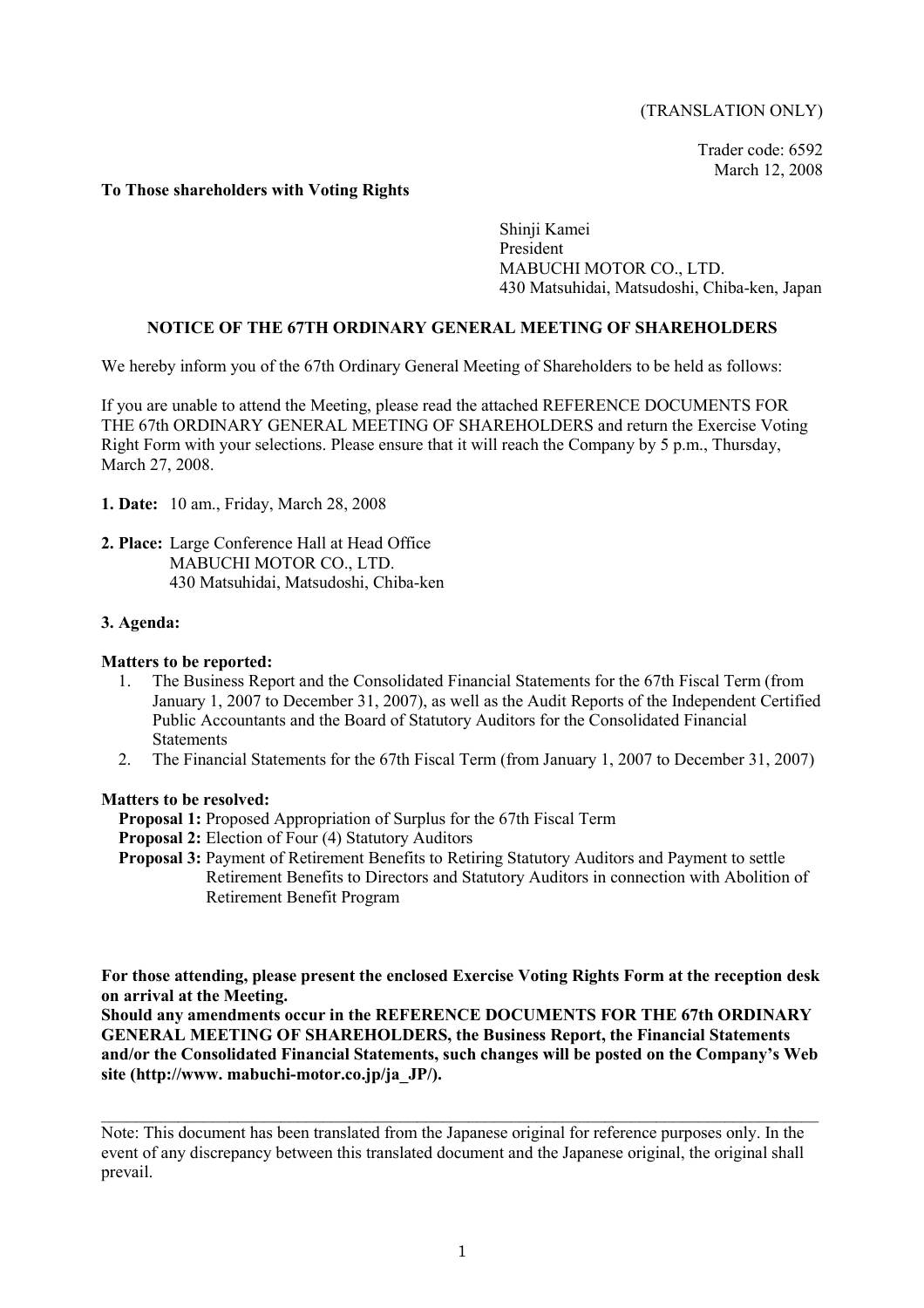#### (TRANSLATION ONLY)

Trader code: 6592 March 12, 2008

#### **To Those shareholders with Voting Rights**

Shinji Kamei President MABUCHI MOTOR CO., LTD. 430 Matsuhidai, Matsudoshi, Chiba-ken, Japan

#### **NOTICE OF THE 67TH ORDINARY GENERAL MEETING OF SHAREHOLDERS**

We hereby inform you of the 67th Ordinary General Meeting of Shareholders to be held as follows:

If you are unable to attend the Meeting, please read the attached REFERENCE DOCUMENTS FOR THE 67th ORDINARY GENERAL MEETING OF SHAREHOLDERS and return the Exercise Voting Right Form with your selections. Please ensure that it will reach the Company by 5 p.m., Thursday, March 27, 2008.

- **1. Date:** 10 am., Friday, March 28, 2008
- **2. Place:** Large Conference Hall at Head Office MABUCHI MOTOR CO., LTD. 430 Matsuhidai, Matsudoshi, Chiba-ken

#### **3. Agenda:**

#### **Matters to be reported:**

- 1. The Business Report and the Consolidated Financial Statements for the 67th Fiscal Term (from January 1, 2007 to December 31, 2007), as well as the Audit Reports of the Independent Certified Public Accountants and the Board of Statutory Auditors for the Consolidated Financial **Statements**
- 2. The Financial Statements for the 67th Fiscal Term (from January 1, 2007 to December 31, 2007)

#### **Matters to be resolved:**

- **Proposal 1:** Proposed Appropriation of Surplus for the 67th Fiscal Term
- **Proposal 2:** Election of Four (4) Statutory Auditors
- **Proposal 3:** Payment of Retirement Benefits to Retiring Statutory Auditors and Payment to settle Retirement Benefits to Directors and Statutory Auditors in connection with Abolition of Retirement Benefit Program

**For those attending, please present the enclosed Exercise Voting Rights Form at the reception desk on arrival at the Meeting.** 

**Should any amendments occur in the REFERENCE DOCUMENTS FOR THE 67th ORDINARY GENERAL MEETING OF SHAREHOLDERS, the Business Report, the Financial Statements and/or the Consolidated Financial Statements, such changes will be posted on the Company's Web site (http://www. mabuchi-motor.co.jp/ja\_JP/).**

Note: This document has been translated from the Japanese original for reference purposes only. In the event of any discrepancy between this translated document and the Japanese original, the original shall prevail.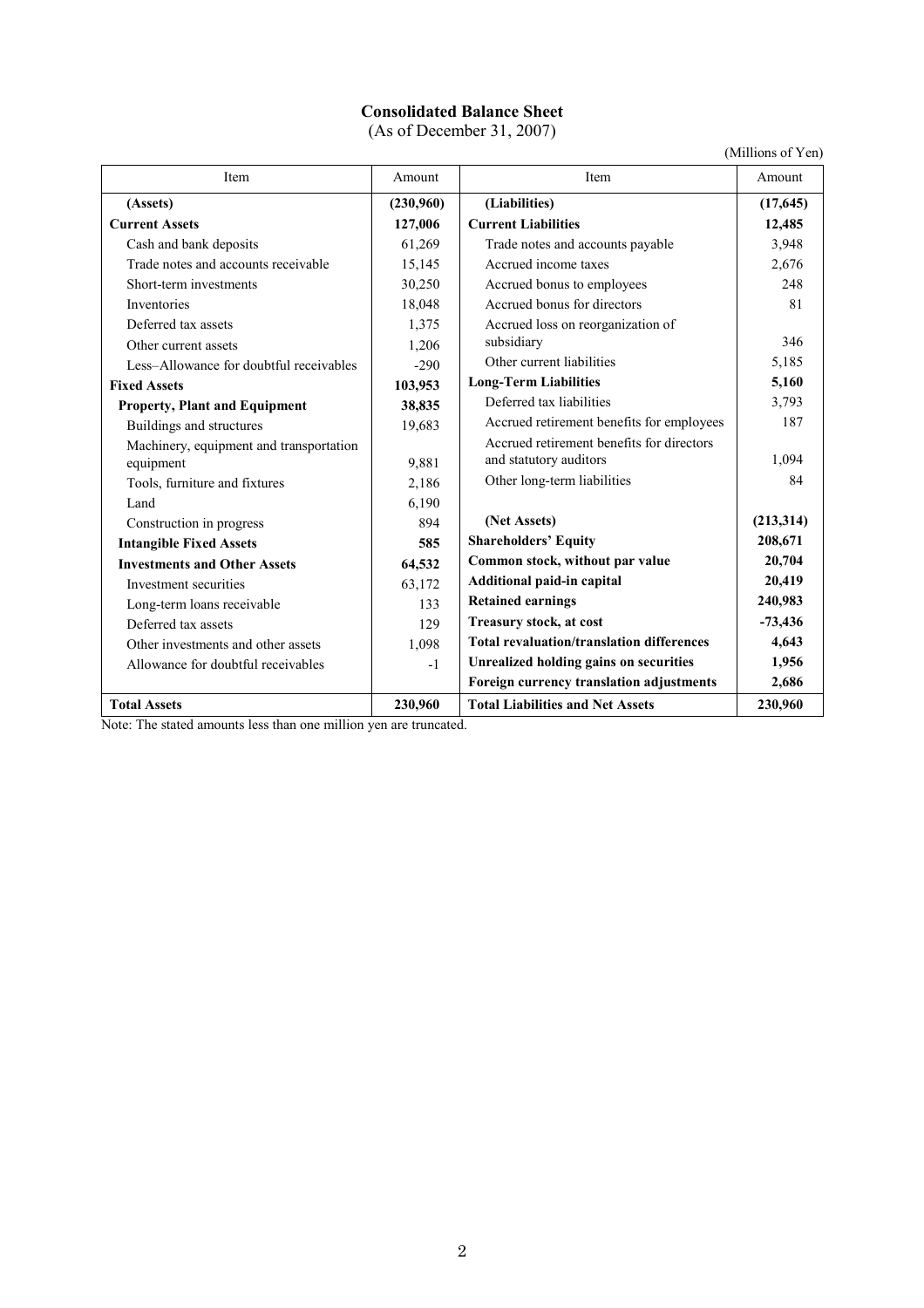# **Consolidated Balance Sheet**

(As of December 31, 2007)

(Millions of Yen)

| Item                                    | Amount    | Item                                             | Amount     |
|-----------------------------------------|-----------|--------------------------------------------------|------------|
| (Assets)                                | (230,960) | (Liabilities)                                    | (17,645)   |
| <b>Current Assets</b>                   | 127,006   | <b>Current Liabilities</b>                       | 12,485     |
| Cash and bank deposits                  | 61,269    | Trade notes and accounts payable                 | 3,948      |
| Trade notes and accounts receivable     | 15,145    | Accrued income taxes                             | 2,676      |
| Short-term investments                  | 30,250    | Accrued bonus to employees                       | 248        |
| Inventories                             | 18,048    | Accrued bonus for directors                      | 81         |
| Deferred tax assets                     | 1,375     | Accrued loss on reorganization of                |            |
| Other current assets                    | 1,206     | subsidiary                                       | 346        |
| Less-Allowance for doubtful receivables | $-290$    | Other current liabilities                        | 5,185      |
| <b>Fixed Assets</b>                     | 103,953   | <b>Long-Term Liabilities</b>                     | 5,160      |
| <b>Property, Plant and Equipment</b>    | 38,835    | Deferred tax liabilities                         | 3,793      |
| Buildings and structures                | 19,683    | Accrued retirement benefits for employees        | 187        |
| Machinery, equipment and transportation |           | Accrued retirement benefits for directors        |            |
| equipment                               | 9,881     | and statutory auditors                           | 1,094      |
| Tools, furniture and fixtures           | 2,186     | Other long-term liabilities                      | 84         |
| Land                                    | 6,190     |                                                  |            |
| Construction in progress                | 894       | (Net Assets)                                     | (213, 314) |
| <b>Intangible Fixed Assets</b>          | 585       | <b>Shareholders' Equity</b>                      | 208,671    |
| <b>Investments and Other Assets</b>     | 64,532    | Common stock, without par value                  | 20,704     |
| Investment securities                   | 63,172    | Additional paid-in capital                       | 20,419     |
| Long-term loans receivable              | 133       | <b>Retained earnings</b>                         | 240,983    |
| Deferred tax assets                     | 129       | Treasury stock, at cost                          | $-73,436$  |
| Other investments and other assets      | 1,098     | <b>Total revaluation/translation differences</b> | 4,643      |
| Allowance for doubtful receivables      | $-1$      | <b>Unrealized holding gains on securities</b>    | 1,956      |
|                                         |           | Foreign currency translation adjustments         | 2,686      |
| <b>Total Assets</b>                     | 230,960   | <b>Total Liabilities and Net Assets</b>          | 230,960    |

Note: The stated amounts less than one million yen are truncated.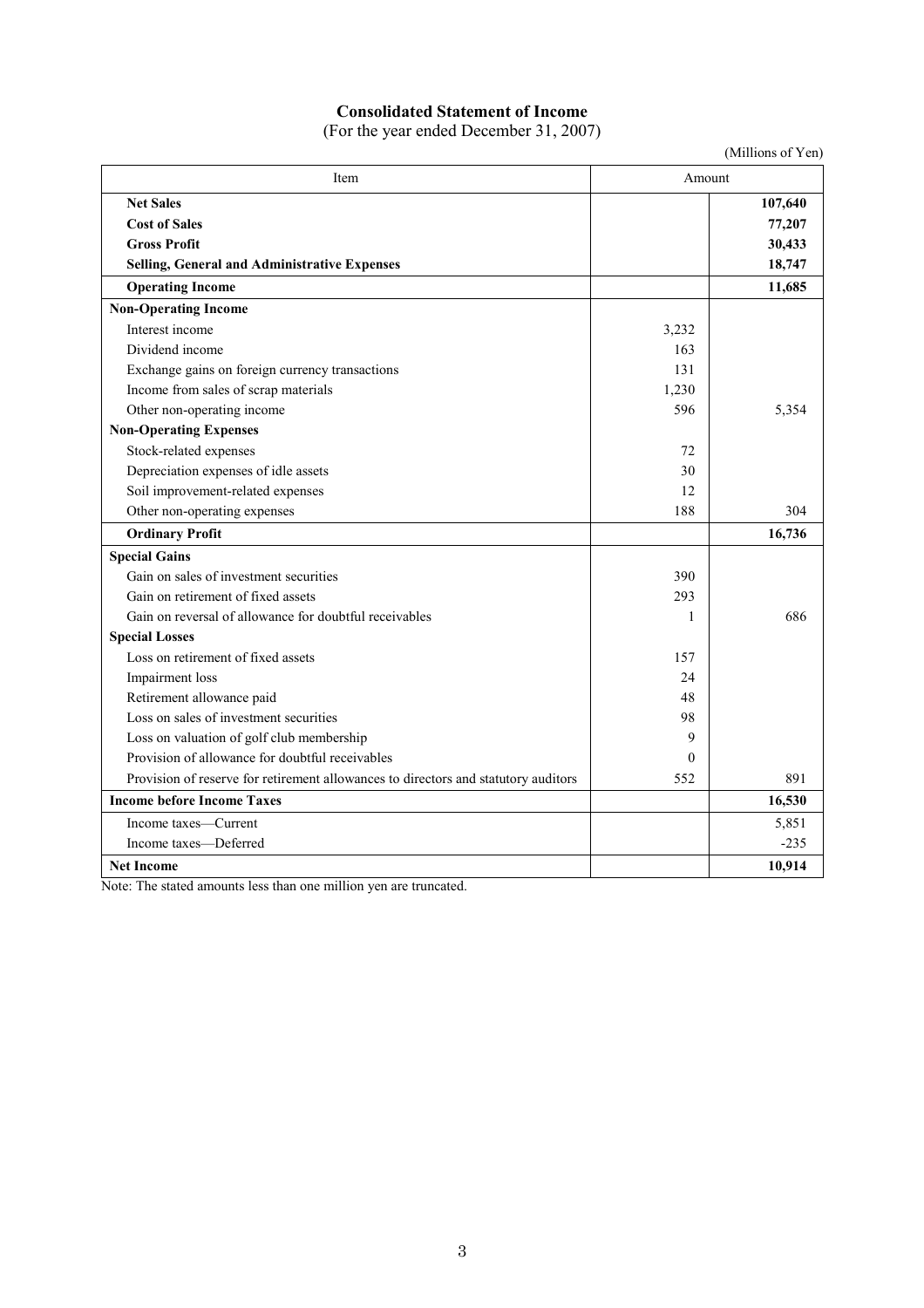# **Consolidated Statement of Income**

(For the year ended December 31, 2007)

|                                                                                    |          | (Millions of Yen) |
|------------------------------------------------------------------------------------|----------|-------------------|
| Item                                                                               | Amount   |                   |
| <b>Net Sales</b>                                                                   |          | 107,640           |
| <b>Cost of Sales</b>                                                               |          | 77,207            |
| <b>Gross Profit</b>                                                                |          | 30,433            |
| <b>Selling, General and Administrative Expenses</b>                                |          | 18,747            |
| <b>Operating Income</b>                                                            |          | 11,685            |
| <b>Non-Operating Income</b>                                                        |          |                   |
| Interest income                                                                    | 3,232    |                   |
| Dividend income                                                                    | 163      |                   |
| Exchange gains on foreign currency transactions                                    | 131      |                   |
| Income from sales of scrap materials                                               | 1,230    |                   |
| Other non-operating income                                                         | 596      | 5,354             |
| <b>Non-Operating Expenses</b>                                                      |          |                   |
| Stock-related expenses                                                             | 72       |                   |
| Depreciation expenses of idle assets                                               | 30       |                   |
| Soil improvement-related expenses                                                  | 12       |                   |
| Other non-operating expenses                                                       | 188      | 304               |
| <b>Ordinary Profit</b>                                                             |          | 16,736            |
| <b>Special Gains</b>                                                               |          |                   |
| Gain on sales of investment securities                                             | 390      |                   |
| Gain on retirement of fixed assets                                                 | 293      |                   |
| Gain on reversal of allowance for doubtful receivables                             | 1        | 686               |
| <b>Special Losses</b>                                                              |          |                   |
| Loss on retirement of fixed assets                                                 | 157      |                   |
| Impairment loss                                                                    | 24       |                   |
| Retirement allowance paid                                                          | 48       |                   |
| Loss on sales of investment securities                                             | 98       |                   |
| Loss on valuation of golf club membership                                          | 9        |                   |
| Provision of allowance for doubtful receivables                                    | $\Omega$ |                   |
| Provision of reserve for retirement allowances to directors and statutory auditors | 552      | 891               |
| <b>Income before Income Taxes</b>                                                  |          | 16,530            |
| Income taxes—Current                                                               |          | 5,851             |
| Income taxes—Deferred                                                              |          | $-235$            |
| <b>Net Income</b>                                                                  |          | 10,914            |

Note: The stated amounts less than one million yen are truncated.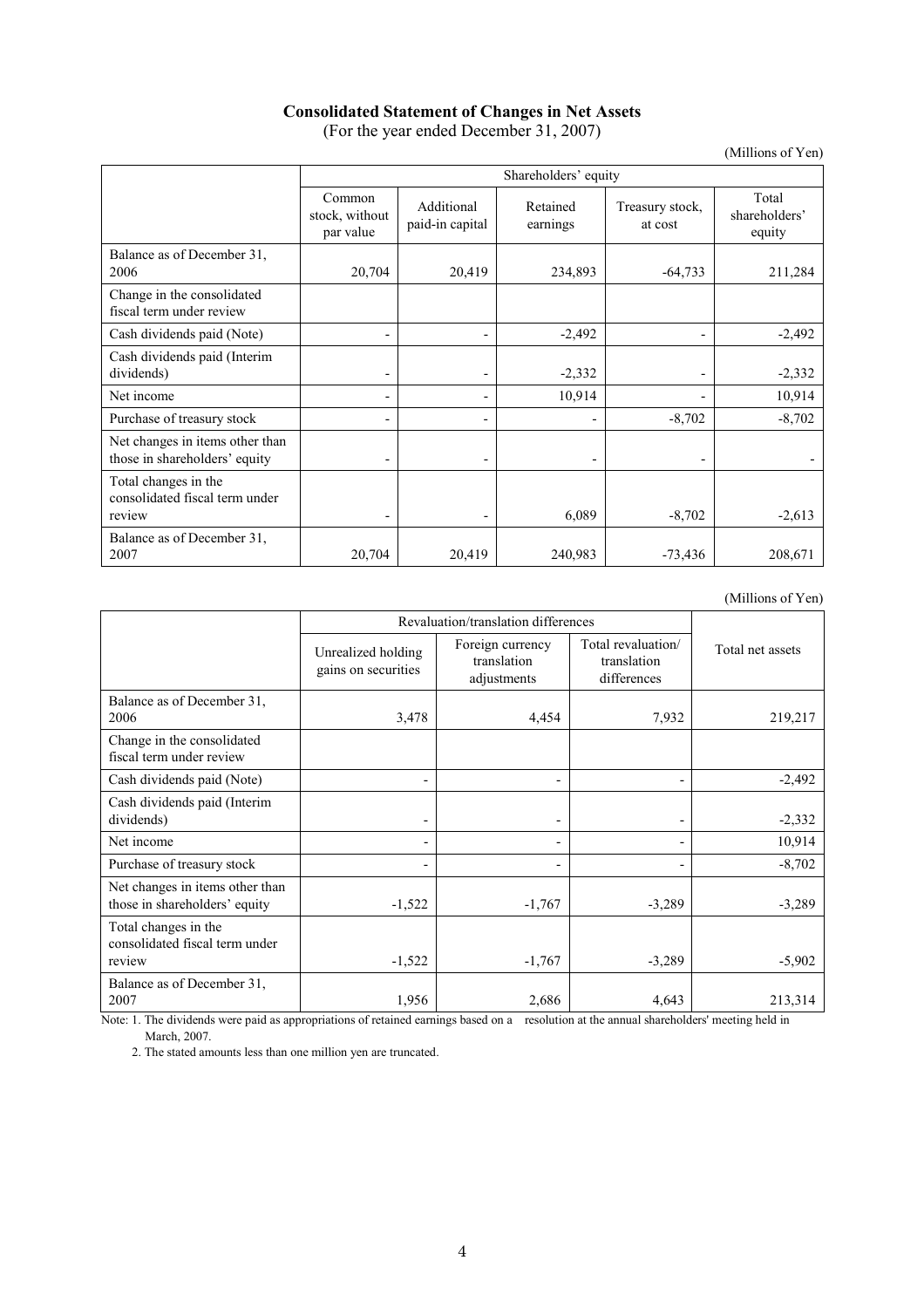#### **Consolidated Statement of Changes in Net Assets**  (For the year ended December 31, 2007)

(Millions of Yen)

|                                                                  | Shareholders' equity                  |                               |                      |                            |                                  |
|------------------------------------------------------------------|---------------------------------------|-------------------------------|----------------------|----------------------------|----------------------------------|
|                                                                  | Common<br>stock, without<br>par value | Additional<br>paid-in capital | Retained<br>earnings | Treasury stock,<br>at cost | Total<br>shareholders'<br>equity |
| Balance as of December 31,<br>2006                               | 20,704                                | 20,419                        | 234,893              | $-64,733$                  | 211,284                          |
| Change in the consolidated<br>fiscal term under review           |                                       |                               |                      |                            |                                  |
| Cash dividends paid (Note)                                       |                                       |                               | $-2,492$             | $\overline{\phantom{a}}$   | $-2,492$                         |
| Cash dividends paid (Interim<br>dividends)                       |                                       |                               | $-2,332$             | $\overline{\phantom{0}}$   | $-2,332$                         |
| Net income                                                       |                                       |                               | 10,914               | $\blacksquare$             | 10,914                           |
| Purchase of treasury stock                                       |                                       |                               |                      | $-8,702$                   | $-8,702$                         |
| Net changes in items other than<br>those in shareholders' equity |                                       |                               |                      |                            |                                  |
| Total changes in the<br>consolidated fiscal term under<br>review |                                       |                               | 6,089                | $-8,702$                   | $-2,613$                         |
| Balance as of December 31,<br>2007                               | 20,704                                | 20,419                        | 240,983              | $-73,436$                  | 208,671                          |

(Millions of Yen)

|                                                                  | Revaluation/translation differences       |                                                |                                                  |                  |
|------------------------------------------------------------------|-------------------------------------------|------------------------------------------------|--------------------------------------------------|------------------|
|                                                                  | Unrealized holding<br>gains on securities | Foreign currency<br>translation<br>adjustments | Total revaluation/<br>translation<br>differences | Total net assets |
| Balance as of December 31,<br>2006                               | 3,478                                     | 4,454                                          | 7,932                                            | 219,217          |
| Change in the consolidated<br>fiscal term under review           |                                           |                                                |                                                  |                  |
| Cash dividends paid (Note)                                       |                                           | $\overline{\phantom{0}}$                       | -                                                | $-2,492$         |
| Cash dividends paid (Interim<br>dividends)                       |                                           |                                                | -                                                | $-2,332$         |
| Net income                                                       |                                           |                                                | ٠                                                | 10,914           |
| Purchase of treasury stock                                       |                                           |                                                | -                                                | $-8,702$         |
| Net changes in items other than<br>those in shareholders' equity | $-1,522$                                  | $-1,767$                                       | $-3,289$                                         | $-3,289$         |
| Total changes in the<br>consolidated fiscal term under<br>review | $-1,522$                                  | $-1,767$                                       | $-3,289$                                         | $-5,902$         |
| Balance as of December 31,<br>2007                               | 1,956                                     | 2,686                                          | 4,643                                            | 213,314          |

Note: 1. The dividends were paid as appropriations of retained earnings based on a resolution at the annual shareholders' meeting held in March, 2007.

2. The stated amounts less than one million yen are truncated.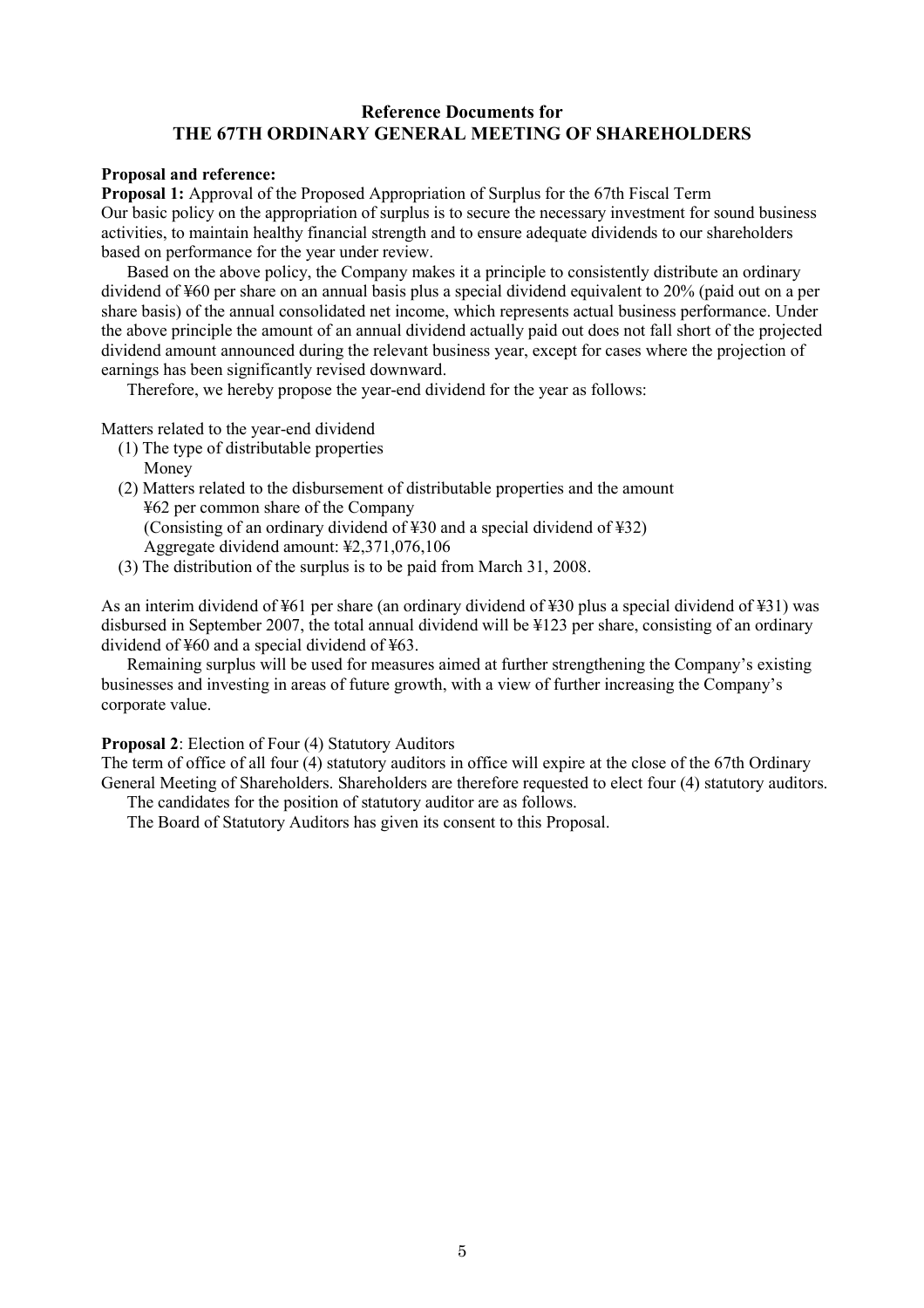### **Reference Documents for THE 67TH ORDINARY GENERAL MEETING OF SHAREHOLDERS**

#### **Proposal and reference:**

**Proposal 1:** Approval of the Proposed Appropriation of Surplus for the 67th Fiscal Term Our basic policy on the appropriation of surplus is to secure the necessary investment for sound business activities, to maintain healthy financial strength and to ensure adequate dividends to our shareholders based on performance for the year under review.

Based on the above policy, the Company makes it a principle to consistently distribute an ordinary dividend of ¥60 per share on an annual basis plus a special dividend equivalent to 20% (paid out on a per share basis) of the annual consolidated net income, which represents actual business performance. Under the above principle the amount of an annual dividend actually paid out does not fall short of the projected dividend amount announced during the relevant business year, except for cases where the projection of earnings has been significantly revised downward.

Therefore, we hereby propose the year-end dividend for the year as follows:

#### Matters related to the year-end dividend

- (1) The type of distributable properties Money
- (2) Matters related to the disbursement of distributable properties and the amount ¥62 per common share of the Company (Consisting of an ordinary dividend of ¥30 and a special dividend of ¥32) Aggregate dividend amount: ¥2,371,076,106
- (3) The distribution of the surplus is to be paid from March 31, 2008.

As an interim dividend of ¥61 per share (an ordinary dividend of ¥30 plus a special dividend of ¥31) was disbursed in September 2007, the total annual dividend will be ¥123 per share, consisting of an ordinary dividend of ¥60 and a special dividend of ¥63.

Remaining surplus will be used for measures aimed at further strengthening the Company's existing businesses and investing in areas of future growth, with a view of further increasing the Company's corporate value.

#### **Proposal 2**: Election of Four (4) Statutory Auditors

The term of office of all four (4) statutory auditors in office will expire at the close of the 67th Ordinary General Meeting of Shareholders. Shareholders are therefore requested to elect four (4) statutory auditors.

The candidates for the position of statutory auditor are as follows.

The Board of Statutory Auditors has given its consent to this Proposal.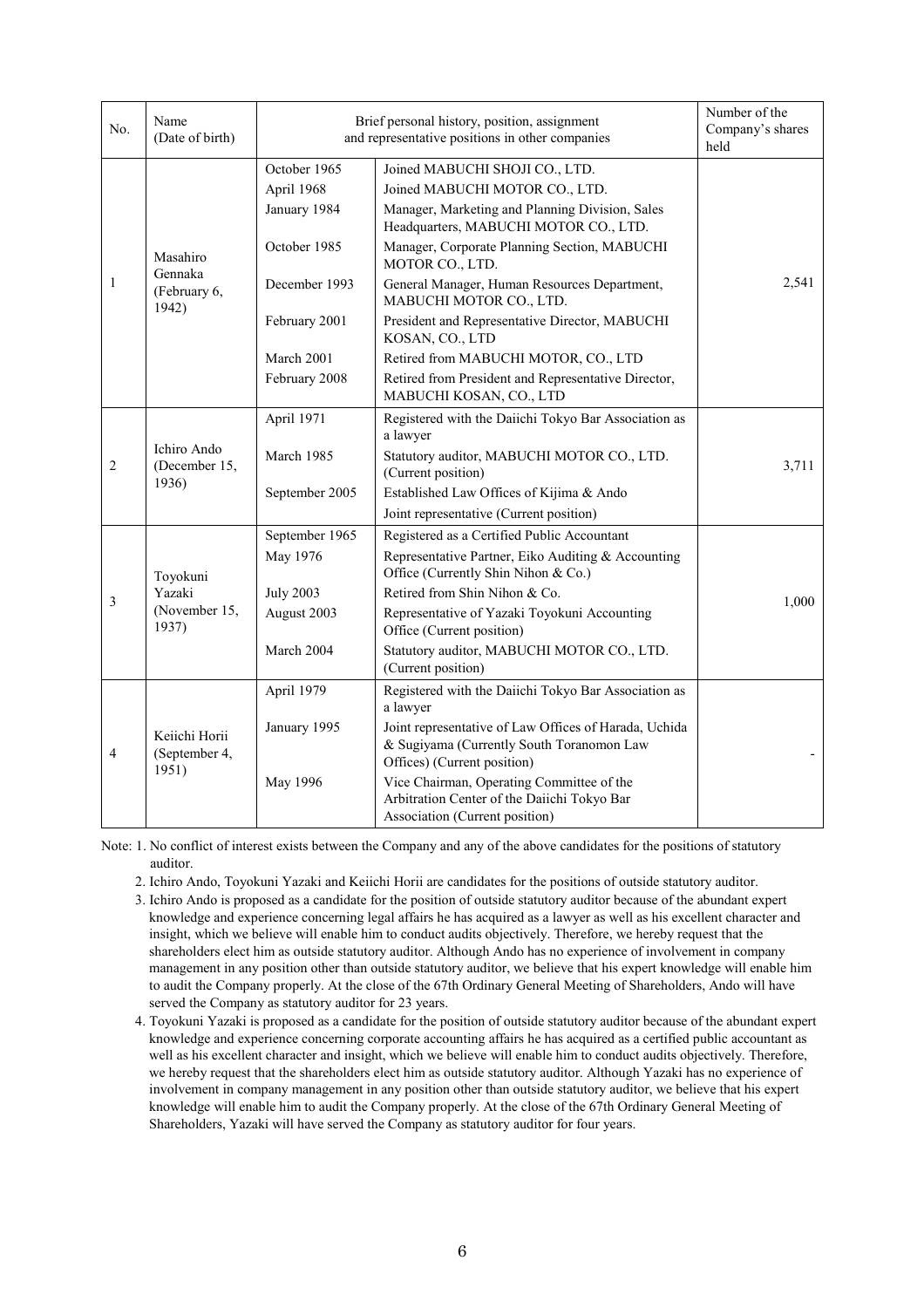| No.            | Name<br>(Date of birth)                      | Brief personal history, position, assignment<br>and representative positions in other companies | Number of the<br>Company's shares<br>held                                                                                         |       |
|----------------|----------------------------------------------|-------------------------------------------------------------------------------------------------|-----------------------------------------------------------------------------------------------------------------------------------|-------|
| Masahiro       |                                              | October 1965<br>April 1968                                                                      | Joined MABUCHI SHOJI CO., LTD.<br>Joined MABUCHI MOTOR CO., LTD.                                                                  |       |
|                |                                              | January 1984                                                                                    | Manager, Marketing and Planning Division, Sales<br>Headquarters, MABUCHI MOTOR CO., LTD.                                          |       |
|                |                                              | October 1985                                                                                    | Manager, Corporate Planning Section, MABUCHI<br>MOTOR CO., LTD.                                                                   |       |
| 1              | Gennaka<br>(February 6,<br>1942)             | December 1993                                                                                   | General Manager, Human Resources Department,<br>MABUCHI MOTOR CO., LTD.                                                           | 2,541 |
|                |                                              | February 2001                                                                                   | President and Representative Director, MABUCHI<br>KOSAN, CO., LTD                                                                 |       |
|                |                                              | March 2001                                                                                      | Retired from MABUCHI MOTOR, CO., LTD                                                                                              |       |
|                |                                              | February 2008                                                                                   | Retired from President and Representative Director,<br>MABUCHI KOSAN, CO., LTD                                                    |       |
|                |                                              | April 1971                                                                                      | Registered with the Daiichi Tokyo Bar Association as<br>a lawyer                                                                  |       |
| $\overline{2}$ | Ichiro Ando<br>(December 15,<br>1936)        | March 1985                                                                                      | Statutory auditor, MABUCHI MOTOR CO., LTD.<br>(Current position)                                                                  | 3,711 |
|                |                                              | September 2005                                                                                  | Established Law Offices of Kijima & Ando                                                                                          |       |
|                |                                              |                                                                                                 | Joint representative (Current position)                                                                                           |       |
|                | Toyokuni<br>Yazaki<br>(November 15,<br>1937) | September 1965                                                                                  | Registered as a Certified Public Accountant                                                                                       |       |
|                |                                              | May 1976                                                                                        | Representative Partner, Eiko Auditing & Accounting<br>Office (Currently Shin Nihon & Co.)                                         |       |
| $\mathfrak{Z}$ |                                              | <b>July 2003</b>                                                                                | Retired from Shin Nihon & Co.                                                                                                     | 1,000 |
|                |                                              | August 2003                                                                                     | Representative of Yazaki Toyokuni Accounting<br>Office (Current position)                                                         |       |
|                |                                              | March 2004                                                                                      | Statutory auditor, MABUCHI MOTOR CO., LTD.<br>(Current position)                                                                  |       |
| $\overline{4}$ | Keiichi Horii<br>(September 4,<br>1951)      | April 1979                                                                                      | Registered with the Daiichi Tokyo Bar Association as<br>a lawyer                                                                  |       |
|                |                                              | January 1995                                                                                    | Joint representative of Law Offices of Harada, Uchida<br>& Sugiyama (Currently South Toranomon Law<br>Offices) (Current position) |       |
|                |                                              | May 1996                                                                                        | Vice Chairman, Operating Committee of the<br>Arbitration Center of the Daiichi Tokyo Bar<br>Association (Current position)        |       |

Note: 1. No conflict of interest exists between the Company and any of the above candidates for the positions of statutory auditor.

- 2. Ichiro Ando, Toyokuni Yazaki and Keiichi Horii are candidates for the positions of outside statutory auditor.
- 3. Ichiro Ando is proposed as a candidate for the position of outside statutory auditor because of the abundant expert knowledge and experience concerning legal affairs he has acquired as a lawyer as well as his excellent character and insight, which we believe will enable him to conduct audits objectively. Therefore, we hereby request that the shareholders elect him as outside statutory auditor. Although Ando has no experience of involvement in company management in any position other than outside statutory auditor, we believe that his expert knowledge will enable him to audit the Company properly. At the close of the 67th Ordinary General Meeting of Shareholders, Ando will have served the Company as statutory auditor for 23 years.
- 4. Toyokuni Yazaki is proposed as a candidate for the position of outside statutory auditor because of the abundant expert knowledge and experience concerning corporate accounting affairs he has acquired as a certified public accountant as well as his excellent character and insight, which we believe will enable him to conduct audits objectively. Therefore, we hereby request that the shareholders elect him as outside statutory auditor. Although Yazaki has no experience of involvement in company management in any position other than outside statutory auditor, we believe that his expert knowledge will enable him to audit the Company properly. At the close of the 67th Ordinary General Meeting of Shareholders, Yazaki will have served the Company as statutory auditor for four years.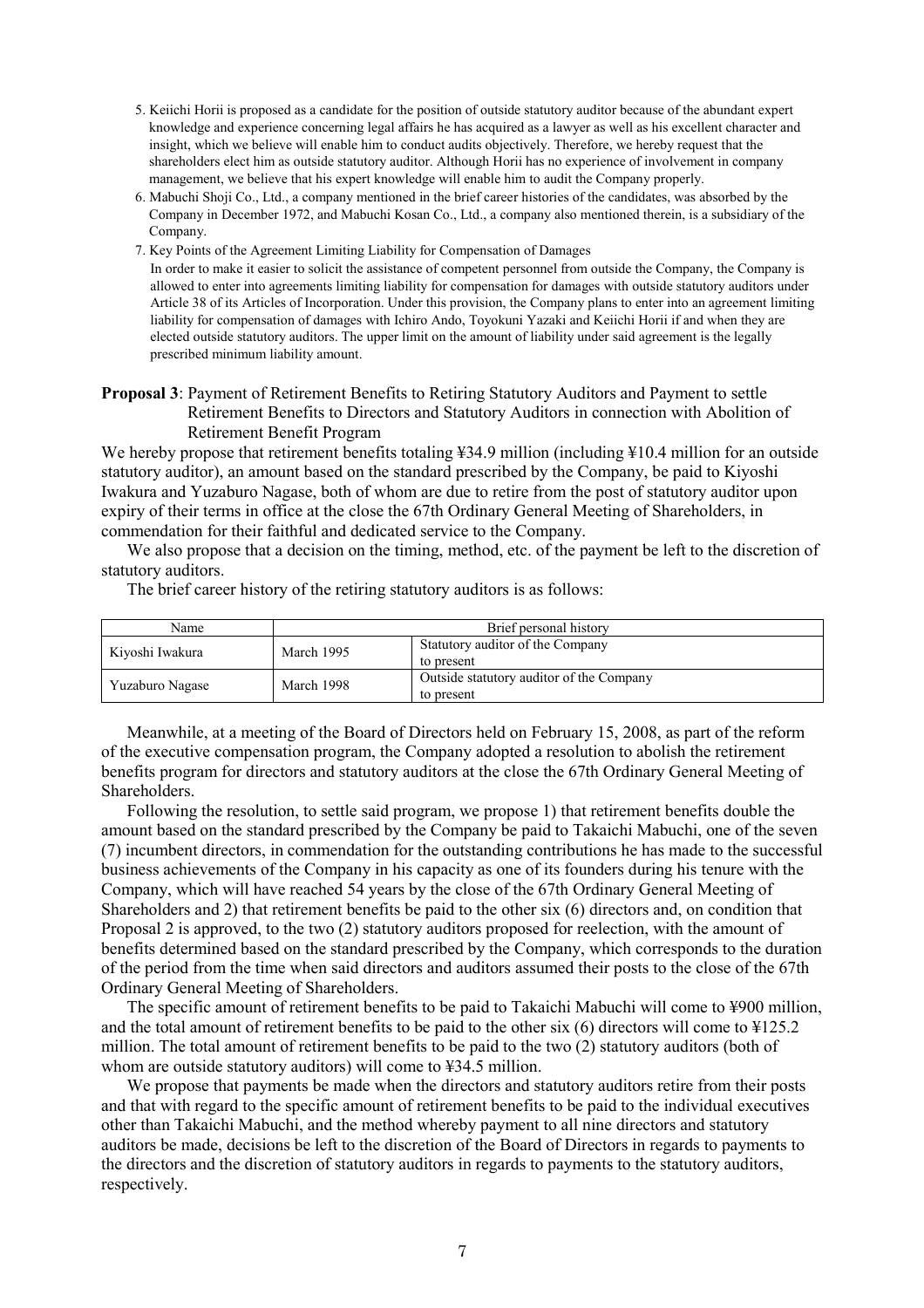- 5. Keiichi Horii is proposed as a candidate for the position of outside statutory auditor because of the abundant expert knowledge and experience concerning legal affairs he has acquired as a lawyer as well as his excellent character and insight, which we believe will enable him to conduct audits objectively. Therefore, we hereby request that the shareholders elect him as outside statutory auditor. Although Horii has no experience of involvement in company management, we believe that his expert knowledge will enable him to audit the Company properly.
- 6. Mabuchi Shoji Co., Ltd., a company mentioned in the brief career histories of the candidates, was absorbed by the Company in December 1972, and Mabuchi Kosan Co., Ltd., a company also mentioned therein, is a subsidiary of the Company.
- 7. Key Points of the Agreement Limiting Liability for Compensation of Damages In order to make it easier to solicit the assistance of competent personnel from outside the Company, the Company is allowed to enter into agreements limiting liability for compensation for damages with outside statutory auditors under Article 38 of its Articles of Incorporation. Under this provision, the Company plans to enter into an agreement limiting liability for compensation of damages with Ichiro Ando, Toyokuni Yazaki and Keiichi Horii if and when they are elected outside statutory auditors. The upper limit on the amount of liability under said agreement is the legally prescribed minimum liability amount.
- **Proposal 3**: Payment of Retirement Benefits to Retiring Statutory Auditors and Payment to settle Retirement Benefits to Directors and Statutory Auditors in connection with Abolition of Retirement Benefit Program

We hereby propose that retirement benefits totaling ¥34.9 million (including ¥10.4 million for an outside statutory auditor), an amount based on the standard prescribed by the Company, be paid to Kiyoshi Iwakura and Yuzaburo Nagase, both of whom are due to retire from the post of statutory auditor upon expiry of their terms in office at the close the 67th Ordinary General Meeting of Shareholders, in commendation for their faithful and dedicated service to the Company.

We also propose that a decision on the timing, method, etc. of the payment be left to the discretion of statutory auditors.

The brief career history of the retiring statutory auditors is as follows:

| Name            | Brief personal history                                       |                                                        |  |
|-----------------|--------------------------------------------------------------|--------------------------------------------------------|--|
| Kiyoshi Iwakura | Statutory auditor of the Company<br>March 1995<br>to present |                                                        |  |
| Yuzaburo Nagase | March 1998                                                   | Outside statutory auditor of the Company<br>to present |  |

Meanwhile, at a meeting of the Board of Directors held on February 15, 2008, as part of the reform of the executive compensation program, the Company adopted a resolution to abolish the retirement benefits program for directors and statutory auditors at the close the 67th Ordinary General Meeting of Shareholders.

Following the resolution, to settle said program, we propose 1) that retirement benefits double the amount based on the standard prescribed by the Company be paid to Takaichi Mabuchi, one of the seven (7) incumbent directors, in commendation for the outstanding contributions he has made to the successful business achievements of the Company in his capacity as one of its founders during his tenure with the Company, which will have reached 54 years by the close of the 67th Ordinary General Meeting of Shareholders and 2) that retirement benefits be paid to the other six (6) directors and, on condition that Proposal 2 is approved, to the two (2) statutory auditors proposed for reelection, with the amount of benefits determined based on the standard prescribed by the Company, which corresponds to the duration of the period from the time when said directors and auditors assumed their posts to the close of the 67th Ordinary General Meeting of Shareholders.

The specific amount of retirement benefits to be paid to Takaichi Mabuchi will come to ¥900 million, and the total amount of retirement benefits to be paid to the other six (6) directors will come to ¥125.2 million. The total amount of retirement benefits to be paid to the two (2) statutory auditors (both of whom are outside statutory auditors) will come to ¥34.5 million.

We propose that payments be made when the directors and statutory auditors retire from their posts and that with regard to the specific amount of retirement benefits to be paid to the individual executives other than Takaichi Mabuchi, and the method whereby payment to all nine directors and statutory auditors be made, decisions be left to the discretion of the Board of Directors in regards to payments to the directors and the discretion of statutory auditors in regards to payments to the statutory auditors, respectively.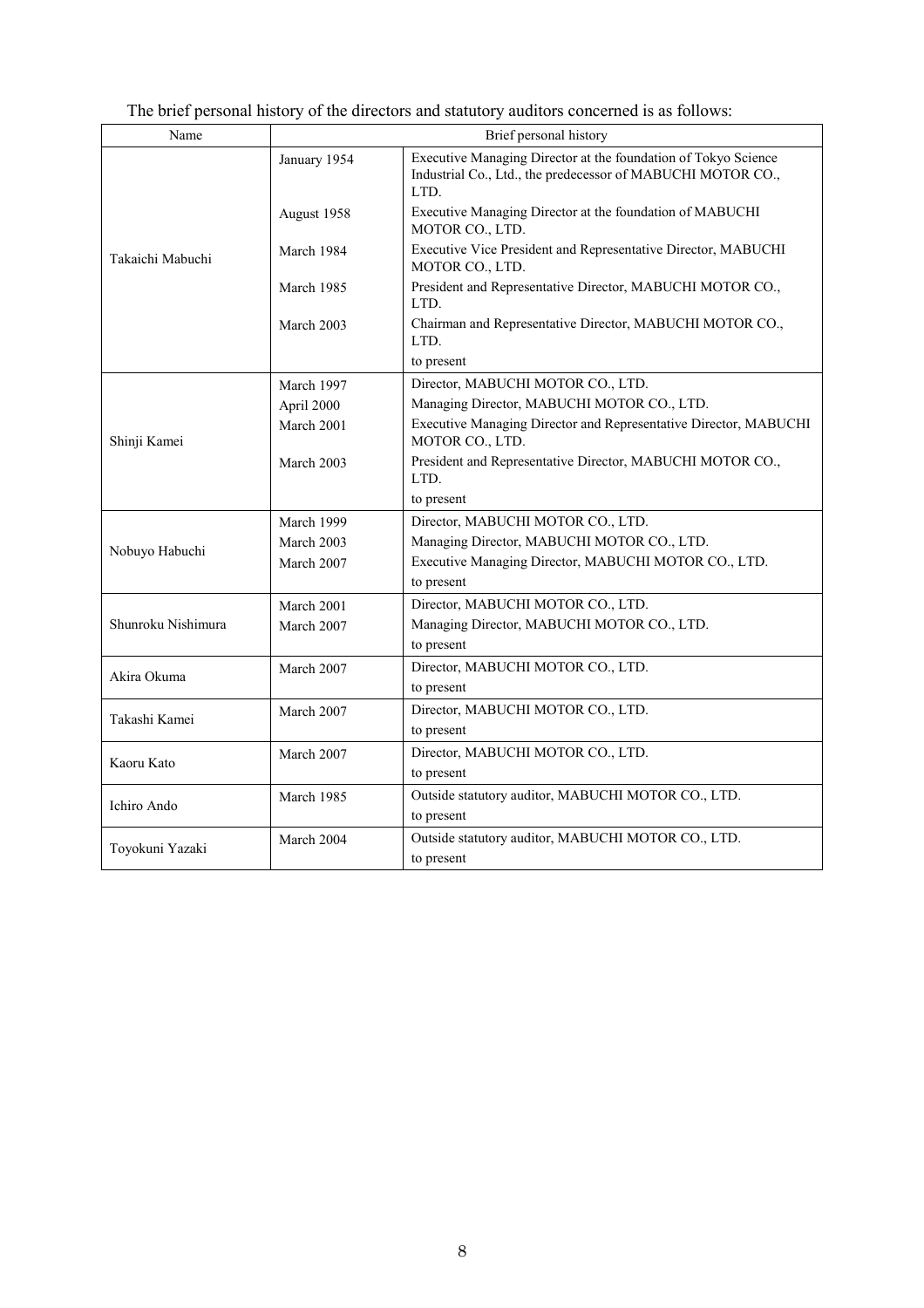| Name               | Brief personal history |                                                                                                                                       |  |
|--------------------|------------------------|---------------------------------------------------------------------------------------------------------------------------------------|--|
|                    | January 1954           | Executive Managing Director at the foundation of Tokyo Science<br>Industrial Co., Ltd., the predecessor of MABUCHI MOTOR CO.,<br>LTD. |  |
| Takaichi Mabuchi   | August 1958            | Executive Managing Director at the foundation of MABUCHI<br>MOTOR CO., LTD.                                                           |  |
|                    | March 1984             | Executive Vice President and Representative Director, MABUCHI<br>MOTOR CO., LTD.                                                      |  |
|                    | March 1985             | President and Representative Director, MABUCHI MOTOR CO.,<br>LTD.                                                                     |  |
|                    | March 2003             | Chairman and Representative Director, MABUCHI MOTOR CO.,<br>LTD.                                                                      |  |
|                    |                        | to present                                                                                                                            |  |
|                    | March 1997             | Director, MABUCHI MOTOR CO., LTD.                                                                                                     |  |
|                    | April 2000             | Managing Director, MABUCHI MOTOR CO., LTD.                                                                                            |  |
| Shinji Kamei       | March 2001             | Executive Managing Director and Representative Director, MABUCHI<br>MOTOR CO., LTD.                                                   |  |
|                    | March 2003             | President and Representative Director, MABUCHI MOTOR CO.,<br>LTD.                                                                     |  |
|                    |                        | to present                                                                                                                            |  |
|                    | March 1999             | Director, MABUCHI MOTOR CO., LTD.                                                                                                     |  |
| Nobuyo Habuchi     | March 2003             | Managing Director, MABUCHI MOTOR CO., LTD.                                                                                            |  |
|                    | March 2007             | Executive Managing Director, MABUCHI MOTOR CO., LTD.                                                                                  |  |
|                    |                        | to present                                                                                                                            |  |
|                    | March 2001             | Director, MABUCHI MOTOR CO., LTD.                                                                                                     |  |
| Shunroku Nishimura | March 2007             | Managing Director, MABUCHI MOTOR CO., LTD.                                                                                            |  |
|                    |                        | to present                                                                                                                            |  |
| Akira Okuma        | March 2007             | Director, MABUCHI MOTOR CO., LTD.                                                                                                     |  |
|                    |                        | to present                                                                                                                            |  |
| Takashi Kamei      | March 2007             | Director, MABUCHI MOTOR CO., LTD.                                                                                                     |  |
|                    |                        | to present                                                                                                                            |  |
| Kaoru Kato         | March 2007             | Director, MABUCHI MOTOR CO., LTD.                                                                                                     |  |
|                    |                        | to present                                                                                                                            |  |
| Ichiro Ando        | March 1985             | Outside statutory auditor, MABUCHI MOTOR CO., LTD.                                                                                    |  |
|                    |                        | to present                                                                                                                            |  |
| Toyokuni Yazaki    | March 2004             | Outside statutory auditor, MABUCHI MOTOR CO., LTD.                                                                                    |  |
|                    |                        | to present                                                                                                                            |  |

## The brief personal history of the directors and statutory auditors concerned is as follows: